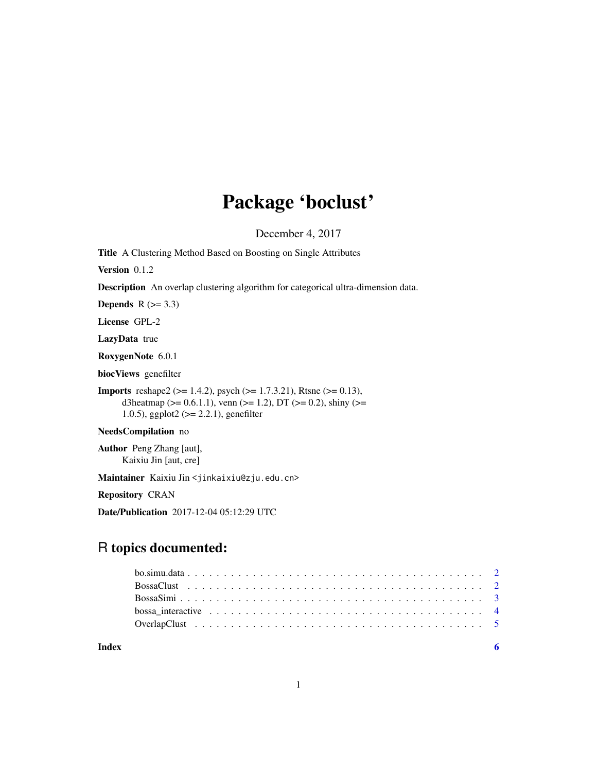## Package 'boclust'

December 4, 2017

<span id="page-0-0"></span>Title A Clustering Method Based on Boosting on Single Attributes

Version 0.1.2

Description An overlap clustering algorithm for categorical ultra-dimension data.

Depends  $R$  ( $>= 3.3$ )

License GPL-2

LazyData true

RoxygenNote 6.0.1

biocViews genefilter

Imports reshape2 (>= 1.4.2), psych (>= 1.7.3.21), Rtsne (>= 0.13), d3heatmap ( $>= 0.6.1.1$ ), venn ( $>= 1.2$ ), DT ( $>= 0.2$ ), shiny ( $>= 1.2$ 1.0.5), ggplot2 (>= 2.2.1), genefilter

#### NeedsCompilation no

Author Peng Zhang [aut], Kaixiu Jin [aut, cre]

Maintainer Kaixiu Jin <jinkaixiu@zju.edu.cn>

Repository CRAN

Date/Publication 2017-12-04 05:12:29 UTC

### R topics documented:

| Index |  |
|-------|--|

1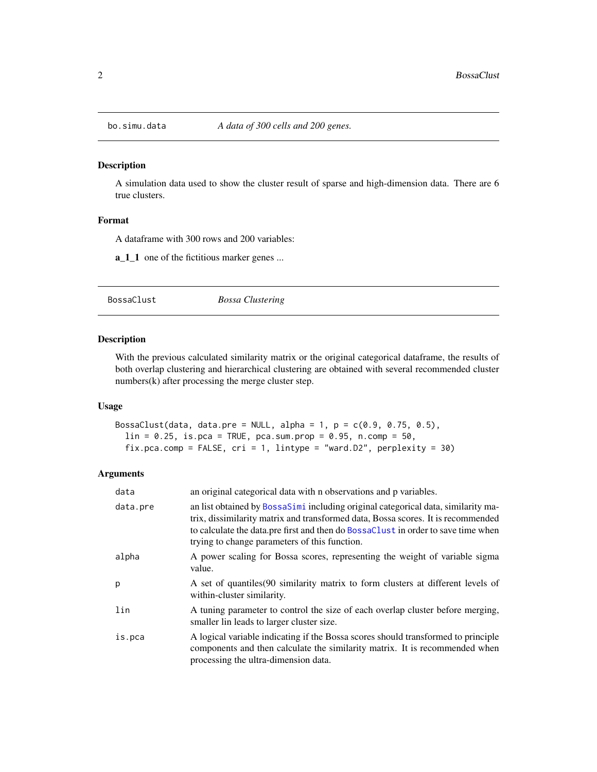<span id="page-1-0"></span>

#### Description

A simulation data used to show the cluster result of sparse and high-dimension data. There are 6 true clusters.

#### Format

A dataframe with 300 rows and 200 variables:

**a\_1\_1** one of the fictitious marker genes ...

<span id="page-1-1"></span>BossaClust *Bossa Clustering*

#### Description

With the previous calculated similarity matrix or the original categorical dataframe, the results of both overlap clustering and hierarchical clustering are obtained with several recommended cluster numbers(k) after processing the merge cluster step.

#### Usage

```
BossaClust(data, data.pre = NULL, alpha = 1, p = c(0.9, 0.75, 0.5),
  lin = 0.25, is.pca = TRUE, pca.sum.prop = 0.95, n.comp = 50,
  fix.pca.comp = FALSE, cri = 1, lintype = "ward.D2", perplexity = 30)
```
#### Arguments

| data     | an original categorical data with n observations and p variables.                                                                                                                                                                                                                                           |
|----------|-------------------------------------------------------------------------------------------------------------------------------------------------------------------------------------------------------------------------------------------------------------------------------------------------------------|
| data.pre | an list obtained by BossaSimi including original categorical data, similarity ma-<br>trix, dissimilarity matrix and transformed data, Bossa scores. It is recommended<br>to calculate the data.pre first and then do BossaClust in order to save time when<br>trying to change parameters of this function. |
| alpha    | A power scaling for Bossa scores, representing the weight of variable sigma<br>value.                                                                                                                                                                                                                       |
| p        | A set of quantiles (90 similarity matrix to form clusters at different levels of<br>within-cluster similarity.                                                                                                                                                                                              |
| lin      | A tuning parameter to control the size of each overlap cluster before merging,<br>smaller lin leads to larger cluster size.                                                                                                                                                                                 |
| is.pca   | A logical variable indicating if the Bossa scores should transformed to principle<br>components and then calculate the similarity matrix. It is recommended when<br>processing the ultra-dimension data.                                                                                                    |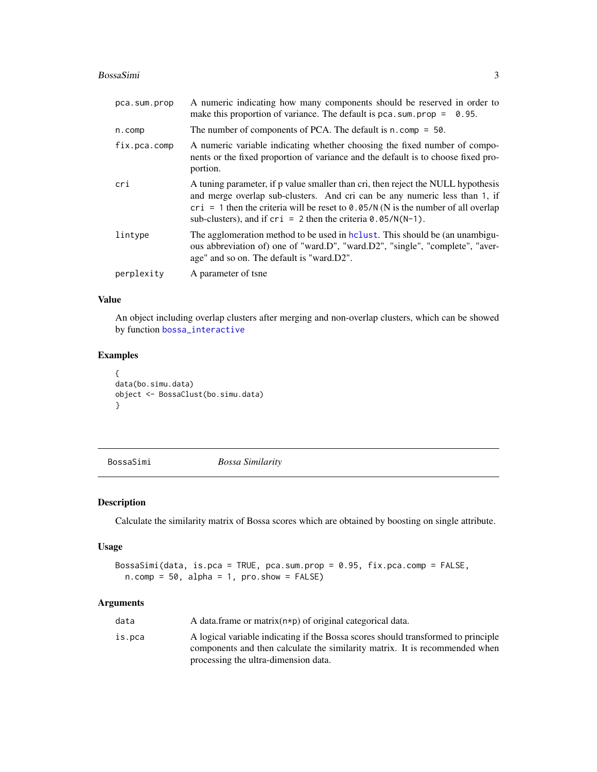#### <span id="page-2-0"></span>BossaSimi 3

| pca.sum.prop | A numeric indicating how many components should be reserved in order to<br>make this proportion of variance. The default is $pca.sum.prop = 0.95$ .                                                                                                                                                                                       |
|--------------|-------------------------------------------------------------------------------------------------------------------------------------------------------------------------------------------------------------------------------------------------------------------------------------------------------------------------------------------|
| n.comp       | The number of components of PCA. The default is $n$ . comp = 50.                                                                                                                                                                                                                                                                          |
| fix.pca.comp | A numeric variable indicating whether choosing the fixed number of compo-<br>nents or the fixed proportion of variance and the default is to choose fixed pro-<br>portion.                                                                                                                                                                |
| cri          | A tuning parameter, if p value smaller than cri, then reject the NULL hypothesis<br>and merge overlap sub-clusters. And cri can be any numeric less than 1, if<br>cri = 1 then the criteria will be reset to $\theta$ . $\theta$ 5/N (N is the number of all overlap<br>sub-clusters), and if $cri = 2$ then the criteria $0.05/N(N-1)$ . |
| lintype      | The agglomeration method to be used in hologie. This should be (an unambigu-<br>ous abbreviation of) one of "ward.D", "ward.D2", "single", "complete", "aver-<br>age" and so on. The default is "ward.D2".                                                                                                                                |
| perplexity   | A parameter of tsne                                                                                                                                                                                                                                                                                                                       |

#### Value

An object including overlap clusters after merging and non-overlap clusters, which can be showed by function [bossa\\_interactive](#page-3-1)

#### Examples

```
{
data(bo.simu.data)
object <- BossaClust(bo.simu.data)
}
```
<span id="page-2-1"></span>BossaSimi *Bossa Similarity*

#### Description

Calculate the similarity matrix of Bossa scores which are obtained by boosting on single attribute.

#### Usage

```
BossaSimi(data, is.pca = TRUE, pca.sum.prop = 0.95, fix.pca.comp = FALSE,
 n.comp = 50, alpha = 1, pro.show = FALSE)
```
#### Arguments

| data   | A data frame or matrix $(n * p)$ of original categorical data.                    |
|--------|-----------------------------------------------------------------------------------|
| is.pca | A logical variable indicating if the Bossa scores should transformed to principle |
|        | components and then calculate the similarity matrix. It is recommended when       |
|        | processing the ultra-dimension data.                                              |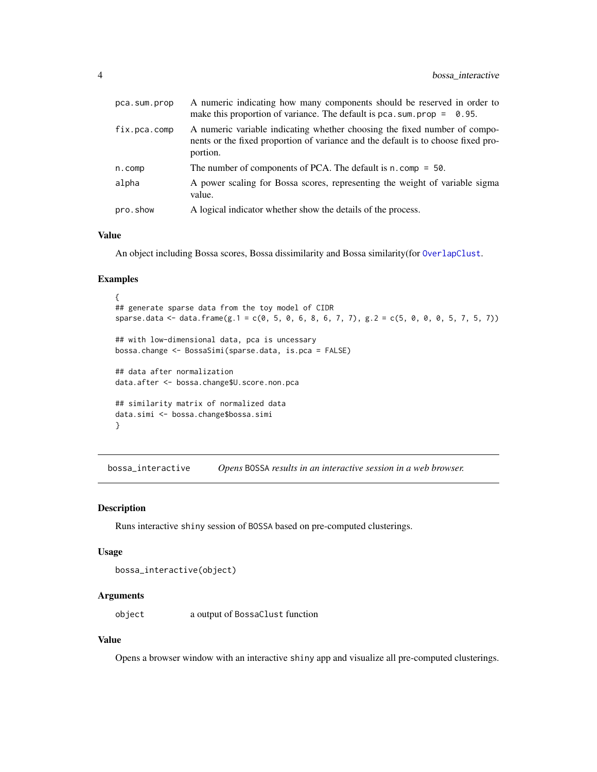<span id="page-3-0"></span>

| pca.sum.prop | A numeric indicating how many components should be reserved in order to<br>make this proportion of variance. The default is pca. sum. prop $=$ 0.95.                       |
|--------------|----------------------------------------------------------------------------------------------------------------------------------------------------------------------------|
| fix.pca.comp | A numeric variable indicating whether choosing the fixed number of compo-<br>nents or the fixed proportion of variance and the default is to choose fixed pro-<br>portion. |
| $n.$ comp    | The number of components of PCA. The default is $n \cdot \text{comp} = 50$ .                                                                                               |
| alpha        | A power scaling for Bossa scores, representing the weight of variable sigma<br>value.                                                                                      |
| pro.show     | A logical indicator whether show the details of the process.                                                                                                               |

#### Value

An object including Bossa scores, Bossa dissimilarity and Bossa similarity(for [OverlapClust](#page-4-1).

#### Examples

```
{
## generate sparse data from the toy model of CIDR
sparse.data <- data.frame(g.1 = c(0, 5, 0, 6, 8, 6, 7, 7), g.2 = c(5, 0, 0, 0, 5, 7, 5, 7))
## with low-dimensional data, pca is uncessary
bossa.change <- BossaSimi(sparse.data, is.pca = FALSE)
## data after normalization
data.after <- bossa.change$U.score.non.pca
## similarity matrix of normalized data
data.simi <- bossa.change$bossa.simi
}
```
<span id="page-3-1"></span>bossa\_interactive *Opens* BOSSA *results in an interactive session in a web browser.*

#### Description

Runs interactive shiny session of BOSSA based on pre-computed clusterings.

#### Usage

```
bossa_interactive(object)
```
#### Arguments

object a output of BossaClust function

#### Value

Opens a browser window with an interactive shiny app and visualize all pre-computed clusterings.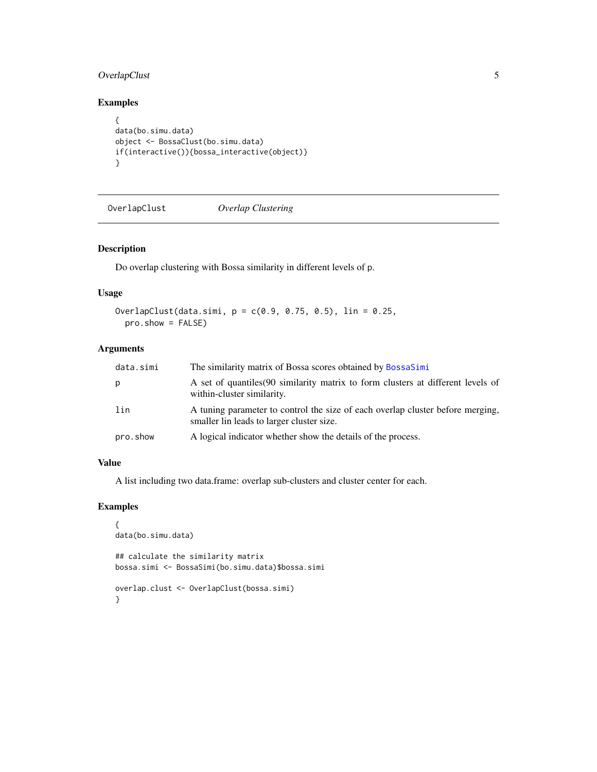#### <span id="page-4-0"></span>OverlapClust 5

#### Examples

```
{
data(bo.simu.data)
object <- BossaClust(bo.simu.data)
if(interactive()){bossa_interactive(object)}
}
```
<span id="page-4-1"></span>OverlapClust *Overlap Clustering*

#### Description

Do overlap clustering with Bossa similarity in different levels of p.

#### Usage

```
OverlapClust(data.simi, p = c(0.9, 0.75, 0.5), lin = 0.25,
 pro.show = FALSE)
```
#### Arguments

| data.simi | The similarity matrix of Bossa scores obtained by BossaSimi                                                                 |
|-----------|-----------------------------------------------------------------------------------------------------------------------------|
| p         | A set of quantiles (90 similarity matrix to form clusters at different levels of<br>within-cluster similarity.              |
| lin       | A tuning parameter to control the size of each overlap cluster before merging,<br>smaller lin leads to larger cluster size. |
| pro.show  | A logical indicator whether show the details of the process.                                                                |

#### Value

A list including two data.frame: overlap sub-clusters and cluster center for each.

#### Examples

```
{
data(bo.simu.data)
## calculate the similarity matrix
bossa.simi <- BossaSimi(bo.simu.data)$bossa.simi
overlap.clust <- OverlapClust(bossa.simi)
}
```